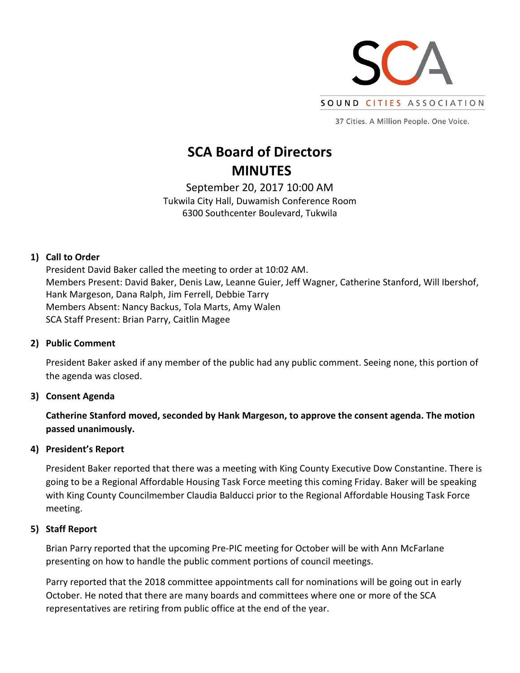

37 Cities. A Million People. One Voice.

# **SCA Board of Directors MINUTES**

September 20, 2017 10:00 AM Tukwila City Hall, Duwamish Conference Room 6300 Southcenter Boulevard, Tukwila

## **1) Call to Order**

President David Baker called the meeting to order at 10:02 AM. Members Present: David Baker, Denis Law, Leanne Guier, Jeff Wagner, Catherine Stanford, Will Ibershof, Hank Margeson, Dana Ralph, Jim Ferrell, Debbie Tarry Members Absent: Nancy Backus, Tola Marts, Amy Walen SCA Staff Present: Brian Parry, Caitlin Magee

## **2) Public Comment**

President Baker asked if any member of the public had any public comment. Seeing none, this portion of the agenda was closed.

## **3) Consent Agenda**

**Catherine Stanford moved, seconded by Hank Margeson, to approve the consent agenda. The motion passed unanimously.**

## **4) President's Report**

President Baker reported that there was a meeting with King County Executive Dow Constantine. There is going to be a Regional Affordable Housing Task Force meeting this coming Friday. Baker will be speaking with King County Councilmember Claudia Balducci prior to the Regional Affordable Housing Task Force meeting.

#### **5) Staff Report**

Brian Parry reported that the upcoming Pre-PIC meeting for October will be with Ann McFarlane presenting on how to handle the public comment portions of council meetings.

Parry reported that the 2018 committee appointments call for nominations will be going out in early October. He noted that there are many boards and committees where one or more of the SCA representatives are retiring from public office at the end of the year.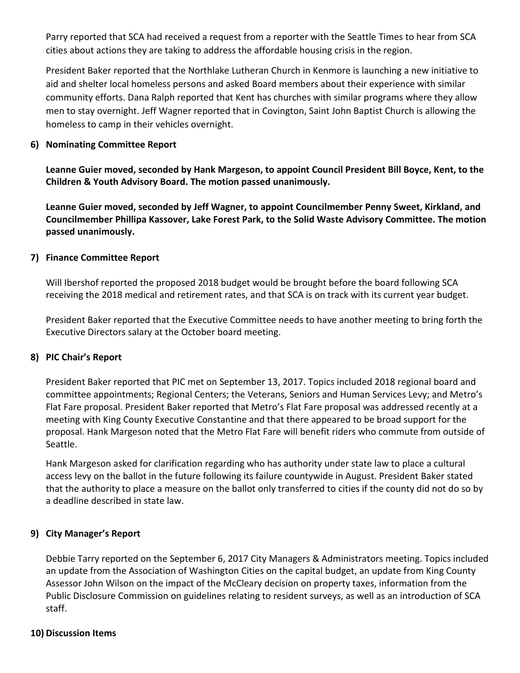Parry reported that SCA had received a request from a reporter with the Seattle Times to hear from SCA cities about actions they are taking to address the affordable housing crisis in the region.

President Baker reported that the Northlake Lutheran Church in Kenmore is launching a new initiative to aid and shelter local homeless persons and asked Board members about their experience with similar community efforts. Dana Ralph reported that Kent has churches with similar programs where they allow men to stay overnight. Jeff Wagner reported that in Covington, Saint John Baptist Church is allowing the homeless to camp in their vehicles overnight.

#### **6) Nominating Committee Report**

**Leanne Guier moved, seconded by Hank Margeson, to appoint Council President Bill Boyce, Kent, to the Children & Youth Advisory Board. The motion passed unanimously.** 

**Leanne Guier moved, seconded by Jeff Wagner, to appoint Councilmember Penny Sweet, Kirkland, and Councilmember Phillipa Kassover, Lake Forest Park, to the Solid Waste Advisory Committee. The motion passed unanimously.** 

#### **7) Finance Committee Report**

Will Ibershof reported the proposed 2018 budget would be brought before the board following SCA receiving the 2018 medical and retirement rates, and that SCA is on track with its current year budget.

President Baker reported that the Executive Committee needs to have another meeting to bring forth the Executive Directors salary at the October board meeting.

## **8) PIC Chair's Report**

President Baker reported that PIC met on September 13, 2017. Topics included 2018 regional board and committee appointments; Regional Centers; the Veterans, Seniors and Human Services Levy; and Metro's Flat Fare proposal. President Baker reported that Metro's Flat Fare proposal was addressed recently at a meeting with King County Executive Constantine and that there appeared to be broad support for the proposal. Hank Margeson noted that the Metro Flat Fare will benefit riders who commute from outside of Seattle.

Hank Margeson asked for clarification regarding who has authority under state law to place a cultural access levy on the ballot in the future following its failure countywide in August. President Baker stated that the authority to place a measure on the ballot only transferred to cities if the county did not do so by a deadline described in state law.

## **9) City Manager's Report**

Debbie Tarry reported on the September 6, 2017 City Managers & Administrators meeting. Topics included an update from the Association of Washington Cities on the capital budget, an update from King County Assessor John Wilson on the impact of the McCleary decision on property taxes, information from the Public Disclosure Commission on guidelines relating to resident surveys, as well as an introduction of SCA staff.

#### **10) Discussion Items**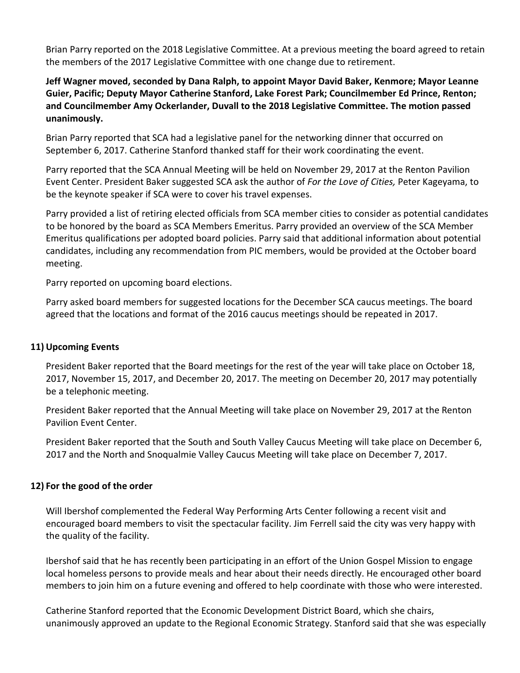Brian Parry reported on the 2018 Legislative Committee. At a previous meeting the board agreed to retain the members of the 2017 Legislative Committee with one change due to retirement.

## **Jeff Wagner moved, seconded by Dana Ralph, to appoint Mayor David Baker, Kenmore; Mayor Leanne Guier, Pacific; Deputy Mayor Catherine Stanford, Lake Forest Park; Councilmember Ed Prince, Renton; and Councilmember Amy Ockerlander, Duvall to the 2018 Legislative Committee. The motion passed unanimously.**

Brian Parry reported that SCA had a legislative panel for the networking dinner that occurred on September 6, 2017. Catherine Stanford thanked staff for their work coordinating the event.

Parry reported that the SCA Annual Meeting will be held on November 29, 2017 at the Renton Pavilion Event Center. President Baker suggested SCA ask the author of *For the Love of Cities,* Peter Kageyama, to be the keynote speaker if SCA were to cover his travel expenses.

Parry provided a list of retiring elected officials from SCA member cities to consider as potential candidates to be honored by the board as SCA Members Emeritus. Parry provided an overview of the SCA Member Emeritus qualifications per adopted board policies. Parry said that additional information about potential candidates, including any recommendation from PIC members, would be provided at the October board meeting.

Parry reported on upcoming board elections.

Parry asked board members for suggested locations for the December SCA caucus meetings. The board agreed that the locations and format of the 2016 caucus meetings should be repeated in 2017.

## **11) Upcoming Events**

President Baker reported that the Board meetings for the rest of the year will take place on October 18, 2017, November 15, 2017, and December 20, 2017. The meeting on December 20, 2017 may potentially be a telephonic meeting.

President Baker reported that the Annual Meeting will take place on November 29, 2017 at the Renton Pavilion Event Center.

President Baker reported that the South and South Valley Caucus Meeting will take place on December 6, 2017 and the North and Snoqualmie Valley Caucus Meeting will take place on December 7, 2017.

## **12) For the good of the order**

Will Ibershof complemented the Federal Way Performing Arts Center following a recent visit and encouraged board members to visit the spectacular facility. Jim Ferrell said the city was very happy with the quality of the facility.

Ibershof said that he has recently been participating in an effort of the Union Gospel Mission to engage local homeless persons to provide meals and hear about their needs directly. He encouraged other board members to join him on a future evening and offered to help coordinate with those who were interested.

Catherine Stanford reported that the Economic Development District Board, which she chairs, unanimously approved an update to the Regional Economic Strategy. Stanford said that she was especially